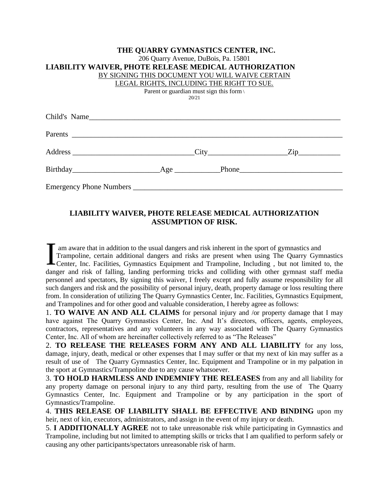| THE QUARRY GYMNASTICS CENTER, INC.                    |                            |  |
|-------------------------------------------------------|----------------------------|--|
| 206 Quarry Avenue, DuBois, Pa. 15801                  |                            |  |
| LIABILITY WAIVER, PHOTE RELEASE MEDICAL AUTHORIZATION |                            |  |
| BY SIGNING THIS DOCUMENT YOU WILL WAIVE CERTAIN       |                            |  |
| LEGAL RIGHTS, INCLUDING THE RIGHT TO SUE.             |                            |  |
| Parent or guardian must sign this form                |                            |  |
| 20/21                                                 |                            |  |
|                                                       |                            |  |
| Child's Name                                          |                            |  |
|                                                       |                            |  |
|                                                       |                            |  |
|                                                       |                            |  |
|                                                       | $\text{City}$ $\text{Zip}$ |  |
|                                                       |                            |  |
|                                                       |                            |  |
|                                                       |                            |  |
|                                                       |                            |  |
|                                                       |                            |  |

## **LIABILITY WAIVER, PHOTE RELEASE MEDICAL AUTHORIZATION ASSUMPTION OF RISK.**

am aware that in addition to the usual dangers and risk inherent in the sport of gymnastics and Trampoline, certain additional dangers and risks are present when using The Quarry Gymnastics I am aware that in addition to the usual dangers and risk inherent in the sport of gymnastics and Trampoline, certain additional dangers and risks are present when using The Quarry Gymnastics Center, Inc. Facilities, Gymna danger and risk of falling, landing performing tricks and colliding with other gymnast staff media personnel and spectators, By signing this waiver, I freely except and fully assume responsibility for all such dangers and risk and the possibility of personal injury, death, property damage or loss resulting there from. In consideration of utilizing The Quarry Gymnastics Center, Inc. Facilities, Gymnastics Equipment, and Trampolines and for other good and valuable consideration, I hereby agree as follows:

1. **TO WAIVE AN AND ALL CLAIMS** for personal injury and /or property damage that I may have against The Quarry Gymnastics Center, Inc. And It's directors, officers, agents, employees, contractors, representatives and any volunteers in any way associated with The Quarry Gymnastics Center, Inc. All of whom are hereinafter collectively referred to as "The Releases"

2. **TO RELEASE THE RELEASES FORM ANY AND ALL LIABILITY** for any loss, damage, injury, death, medical or other expenses that I may suffer or that my next of kin may suffer as a result of use of The Quarry Gymnastics Center, Inc. Equipment and Trampoline or in my palpation in the sport at Gymnastics/Trampoline due to any cause whatsoever.

3. **TO HOLD HARMLESS AND INDEMNIFY THE RELEASES** from any and all liability for any property damage on personal injury to any third party, resulting from the use of The Quarry Gymnastics Center, Inc. Equipment and Trampoline or by any participation in the sport of Gymnastics/Trampoline.

4. **THIS RELEASE OF LIABILITY SHALL BE EFFECTIVE AND BINDING** upon my heir, next of kin, executors, administrators, and assign in the event of my injury or death.

5. **I ADDITIONALLY AGREE** not to take unreasonable risk while participating in Gymnastics and Trampoline, including but not limited to attempting skills or tricks that I am qualified to perform safely or causing any other participants/spectators unreasonable risk of harm.